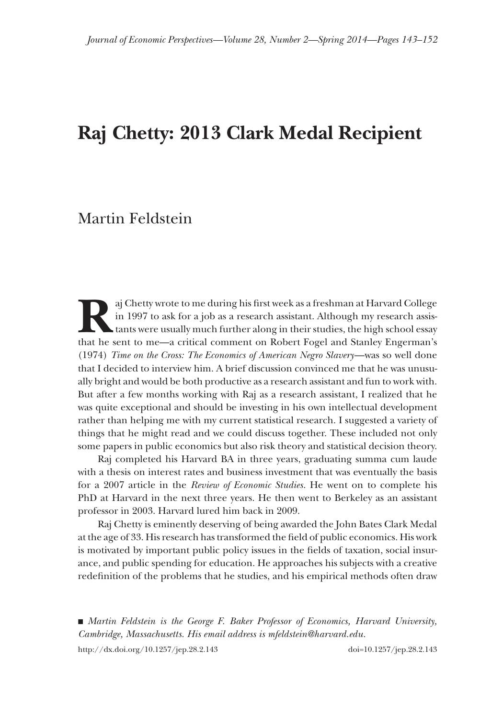# **Raj Chetty: 2013 Clark Medal Recipient**

## Martin Feldstein

Raj Chetty wrote to me during his first week as a freshman at Harvard College in 1997 to ask for a job as a research assistant. Although my research assistants were usually much further along in their studies, the high sch in 1997 to ask for a job as a research assistant. Although my research assistants were usually much further along in their studies, the high school essay that he sent to me—a critical comment on Robert Fogel and Stanley Engerman's (1974)*Time on the Cross: The Economics of American Negro Slavery*—was so well done was so well done that I decided to interview him. A brief discussion convinced me that he was unusually bright and would be both productive as a research assistant and fun to work with. But after a few months working with Raj as a research assistant, I realized that he was quite exceptional and should be investing in his own intellectual development rather than helping me with my current statistical research. I suggested a variety of things that he might read and we could discuss together. These included not only hings that he might read and we could discuss together. These included not only some papers in public economics but also risk theory and statistical decision theory.

Raj completed his Harvard BA in three years, graduating summa cum laude with a thesis on interest rates and business investment that was eventually the basis for a 2007 article in the *Review of Economic Studies*. He went on to complete his PhD at Harvard in the next three years. He then went to Berkeley as an assistant professor in 2003. Harvard lured him back in 2009.

Raj Chetty is eminently deserving of being awarded the John Bates Clark Medal at the age of 33. His research has transformed the field of public economics. His work is motivated by important public policy issues in the fields of taxation, social insurance, and public spending for education. He approaches his subjects with a creative redefinition of the problems that he studies, and his empirical methods often draw

■ *Martin Feldstein is the George F. Baker Professor of Economics, Harvard University, Cambridge, Massachusetts. His email address is [mfeldstein@harvard.edu.](mailto:mfeldstein@harvard.edu)*

<http://dx.doi.org/10.1257/jep.28.2.143>doi=10.1257/jep.28.2.143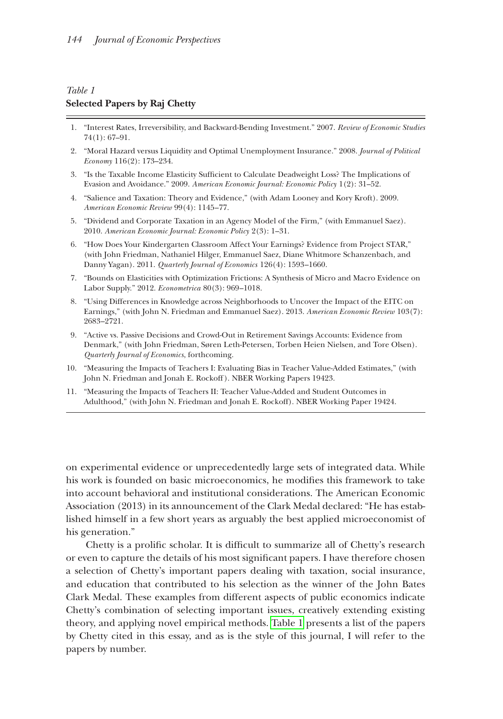#### *Table 1* **Selected Papers by Raj Chetty**

- 1. "Interest Rates, Irreversibility, and Backward-Bending Investment." 2007. *Review of Economic Studies* 74(1): 67–91.
- 2. "Moral Hazard versus Liquidity and Optimal Unemployment Insurance." 2008. *Journal of Political Economy* 116(2): 173–234.
- 3. "Is the Taxable Income Elasticity Sufficient to Calculate Deadweight Loss? The Implications of Evasion and Avoidance." 2009. *American Economic Journal: Economic Policy* 1(2): 31–52.
- 4. "Salience and Taxation: Theory and Evidence," (with Adam Looney and Kory Kroft). 2009. *American Economic Review* 99(4): 1145 –77.
- 5. "Dividend and Corporate Taxation in an Agency Model of the Firm," (with Emmanuel Saez). 2010. *American Economic Journal: Economic Policy* 2(3): 1–31.
- 6. "How Does Your Kindergarten Classroom Affect Your Earnings? Evidence from Project STAR," (with John Friedman, Nathaniel Hilger, Emmanuel Saez, Diane Whitmore Schanzenbach, and Danny Yagan). 2011. *Quarterly Journal of Economics* 126(4): 1593 –1660.
- 7. "Bounds on Elasticities with Optimization Frictions: A Synthesis of Micro and Macro Evidence on Labor Supply." 2012. *Econometrica* 80(3): 969 –1018.
- 8. "Using Differences in Knowledge across Neighborhoods to Uncover the Impact of the EITC on Earnings," (with John N. Friedman and Emmanuel Saez). 2013. *American Economic Review* 103(7): 2683 –2721.
- 9. "Active vs. Passive Decisions and Crowd-Out in Retirement Savings Accounts: Evidence from Denmark," (with John Friedman, Søren Leth-Petersen, Torben Heien Nielsen, and Tore Olsen). *Quarterly Journal of Economics*, forthcoming.
- 10. "Measuring the Impacts of Teachers I: Evaluating Bias in Teacher Value-Added Estimates," (with John N. Friedman and Jonah E. Rockoff ). NBER Working Papers 19423.
- 11. "Measuring the Impacts of Teachers II: Teacher Value-Added and Student Outcomes in Adulthood," (with John N. Friedman and Jonah E. Rockoff). NBER Working Paper 19424.

on experimental evidence or unprecedentedly large sets of integrated data. While his work is founded on basic microeconomics, he modifies this framework to take into account behavioral and institutional considerations. The American Economic nto account behavioral and institutional considerations. The American Economic Association (2013) in its announcement of the Clark Medal declared: "He has established himself in a few short years as arguably the best applied microeconomist of his generation."

Chetty is a prolific scholar. It is difficult to summarize all of Chetty's research or even to capture the details of his most significant papers. I have therefore chosen a selection of Chetty's important papers dealing with taxation, social insurance, and education that contributed to his selection as the winner of the John Bates Clark Medal. These examples from different aspects of public economics indicate Chetty's combination of selecting important issues, creatively extending existing theory, and applying novel empirical methods. Table 1 presents a list of the papers heory, and applying novel empirical methods. Table 1 presents a list of the papers by Chetty cited in this essay, and as is the style of this journal, I will refer to the papers by number.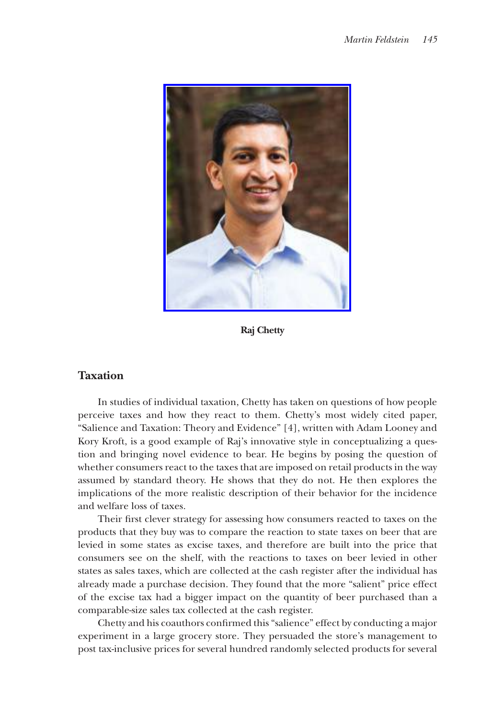

**Raj Chetty**

### **Taxation**

In studies of individual taxation, Chetty has taken on questions of how people perceive taxes and how they react to them. Chetty's most widely cited paper, "Salience and Taxation: Theory and Evidence" [4], written with Adam Looney and Kory Kroft, is a good example of Raj's innovative style in conceptualizing a question and bringing novel evidence to bear. He begins by posing the question of whether consumers react to the taxes that are imposed on retail products in the way assumed by standard theory. He shows that they do not. He then explores the implications of the more realistic description of their behavior for the incidence and welfare loss of taxes.

Their first clever strategy for assessing how consumers reacted to taxes on the products that they buy was to compare the reaction to state taxes on beer that are levied in some states as excise taxes, and therefore are built into the price that consumers see on the shelf, with the reactions to taxes on beer levied in other states as sales taxes, which are collected at the cash register after the individual has already made a purchase decision. They found that the more "salient" price effect of the excise tax had a bigger impact on the quantity of beer purchased than a comparable-size sales tax collected at the cash register.

Chetty and his coauthors confirmed this "salience" effect by conducting a major experiment in a large grocery store. They persuaded the store's management to post tax-inclusive prices for several hundred randomly selected products for several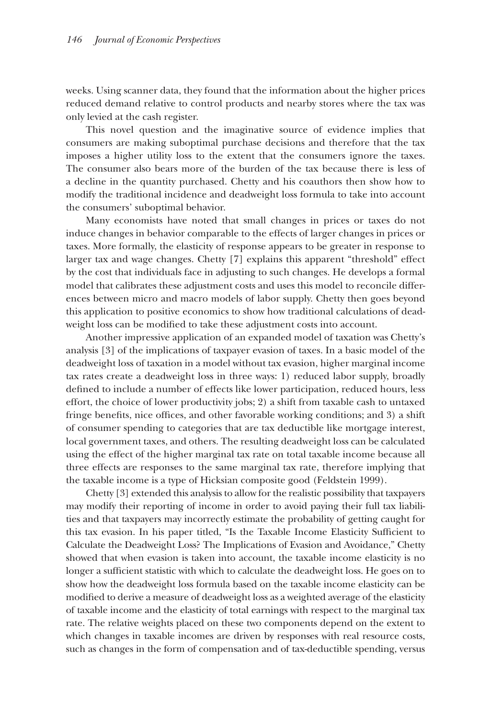weeks. Using scanner data, they found that the information about the higher prices reduced demand relative to control products and nearby stores where the tax was only levied at the cash register.

This novel question and the imaginative source of evidence implies that his novel question and the imaginative source of evidence implies that consumers are making suboptimal purchase decisions and therefore that the tax imposes a higher utility loss to the extent that the consumers ignore the taxes. The consumer also bears more of the burden of the tax because there is less of a decline in the quantity purchased. Chetty and his coauthors then show how to modify the traditional incidence and deadweight loss formula to take into account the consumers' suboptimal behavior.

Many economists have noted that small changes in prices or taxes do not induce changes in behavior comparable to the effects of larger changes in prices or taxes. More formally, the elasticity of response appears to be greater in response to larger tax and wage changes. Chetty [7] explains this apparent "threshold" effect by the cost that individuals face in adjusting to such changes. He develops a formal model that calibrates these adjustment costs and uses this model to reconcile differences between micro and macro models of labor supply. Chetty then goes beyond this application to positive economics to show how traditional calculations of dead- his application to positive economics to show how traditional calculations of deadweight loss can be modified to take these adjustment costs into account.

Another impressive application of an expanded model of taxation was Chetty's analysis [3] of the implications of taxpayer evasion of taxes. In a basic model of the deadweight loss of taxation in a model without tax evasion, higher marginal income tax rates create a deadweight loss in three ways: 1) reduced labor supply, broadly defined to include a number of effects like lower participation, reduced hours, less effort, the choice of lower productivity jobs; 2) a shift from taxable cash to untaxed ffort, the choice of lower productivity jobs; 2) a shift from taxable cash to untaxed fringe benefits, nice offices, and other favorable working conditions; and 3) a shift of consumer spending to categories that are tax deductible like mortgage interest, f consumer spending to categories that are tax deductible like mortgage interest, local government taxes, and others. The resulting deadweight loss can be calculated using the effect of the higher marginal tax rate on total taxable income because all three effects are responses to the same marginal tax rate, therefore implying that the taxable income is a type of Hicksian composite good (Feldstein 1999).

Chetty [3] extended this analysis to allow for the realistic possibility that taxpayers may modify their reporting of income in order to avoid paying their full tax liabilities and that taxpayers may incorrectly estimate the probability of getting caught for ies and that taxpayers may incorrectly estimate the probability of getting caught for this tax evasion. In his paper titled, "Is the Taxable Income Elasticity Sufficient to Calculate the Deadweight Loss? The Implications of Evasion and Avoidance," Chetty showed that when evasion is taken into account, the taxable income elasticity is no longer a sufficient statistic with which to calculate the deadweight loss. He goes on to show how the deadweight loss formula based on the taxable income elasticity can be modified to derive a measure of deadweight loss as a weighted average of the elasticity of taxable income and the elasticity of total earnings with respect to the marginal tax rate. The relative weights placed on these two components depend on the extent to which changes in taxable incomes are driven by responses with real resource costs, such as changes in the form of compensation and of tax-deductible spending, versus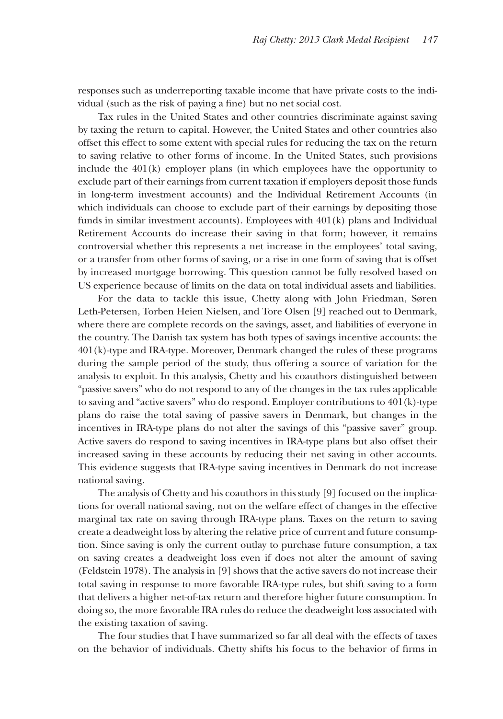responses such as underreporting taxable income that have private costs to the individual (such as the risk of paying a fine) but no net social cost.

Tax rules in the United States and other countries discriminate against saving by taxing the return to capital. However, the United States and other countries also offset this effect to some extent with special rules for reducing the tax on the return to saving relative to other forms of income. In the United States, such provisions include the  $401(k)$  employer plans (in which employees have the opportunity to exclude part of their earnings from current taxation if employers deposit those funds in long-term investment accounts) and the Individual Retirement Accounts (in which individuals can choose to exclude part of their earnings by depositing those funds in similar investment accounts). Employees with  $401(k)$  plans and Individual Retirement Accounts do increase their saving in that form; however, it remains controversial whether this represents a net increase in the employees' total saving, or a transfer from other forms of saving, or a rise in one form of saving that is offset by increased mortgage borrowing. This question cannot be fully resolved based on US experience because of limits on the data on total individual assets and liabilities.

For the data to tackle this issue, Chetty along with John Friedman, Søren Leth-Petersen, Torben Heien Nielsen, and Tore Olsen [9] reached out to Denmark, where there are complete records on the savings, asset, and liabilities of everyone in the country. The Danish tax system has both types of savings incentive accounts: the  $401(k)$ -type and IRA-type. Moreover, Denmark changed the rules of these programs during the sample period of the study, thus offering a source of variation for the analysis to exploit. In this analysis, Chetty and his coauthors distinguished between "passive savers" who do not respond to any of the changes in the tax rules applicable to saving and "active savers" who do respond. Employer contributions to  $401(k)$ -type plans do raise the total saving of passive savers in Denmark, but changes in the incentives in IRA-type plans do not alter the savings of this "passive saver" group. Active savers do respond to saving incentives in IRA-type plans but also offset their increased saving in these accounts by reducing their net saving in other accounts. This evidence suggests that IRA-type saving incentives in Denmark do not increase national saving.

The analysis of Chetty and his coauthors in this study [9] focused on the implications for overall national saving, not on the welfare effect of changes in the effective marginal tax rate on saving through IRA-type plans. Taxes on the return to saving create a deadweight loss by altering the relative price of current and future consumption. Since saving is only the current outlay to purchase future consumption, a tax on saving creates a deadweight loss even if does not alter the amount of saving (Feldstein 1978). The analysis in  $[9]$  shows that the active savers do not increase their total saving in response to more favorable IRA-type rules, but shift saving to a form that delivers a higher net-of-tax return and therefore higher future consumption. In doing so, the more favorable IRA rules do reduce the deadweight loss associated with the existing taxation of saving.

The four studies that I have summarized so far all deal with the effects of taxes on the behavior of individuals. Chetty shifts his focus to the behavior of firms in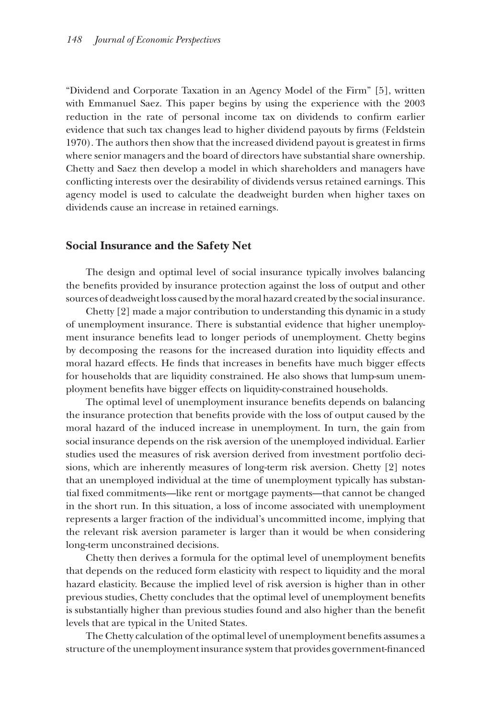"Dividend and Corporate Taxation in an Agency Model of the Firm" [5], written with Emmanuel Saez. This paper begins by using the experience with the 2003 reduction in the rate of personal income tax on dividends to confirm earlier evidence that such tax changes lead to higher dividend payouts by firms (Feldstein 1970). The authors then show that the increased dividend payout is greatest in firms where senior managers and the board of directors have substantial share ownership. Chetty and Saez then develop a model in which shareholders and managers have conflicting interests over the desirability of dividends versus retained earnings. This agency model is used to calculate the deadweight burden when higher taxes on dividends cause an increase in retained earnings.

#### **Social Insurance and the Safety Net**

The design and optimal level of social insurance typically involves balancing the benefits provided by insurance protection against the loss of output and other sources of deadweight loss caused by the moral hazard created by the social insurance.

Chetty  $[2]$  made a major contribution to understanding this dynamic in a study of unemployment insurance. There is substantial evidence that higher unemployment insurance benefits lead to longer periods of unemployment. Chetty begins by decomposing the reasons for the increased duration into liquidity effects and moral hazard effects. He finds that increases in benefits have much bigger effects for households that are liquidity constrained. He also shows that lump-sum unemployment benefits have bigger effects on liquidity-constrained households.

The optimal level of unemployment insurance benefits depends on balancing the insurance protection that benefits provide with the loss of output caused by the moral hazard of the induced increase in unemployment. In turn, the gain from social insurance depends on the risk aversion of the unemployed individual. Earlier studies used the measures of risk aversion derived from investment portfolio decisions, which are inherently measures of long-term risk aversion. Chetty [2] notes that an unemployed individual at the time of unemployment typically has substantial fixed commitments—like rent or mortgage payments—that cannot be changed in the short run. In this situation, a loss of income associated with unemployment represents a larger fraction of the individual's uncommitted income, implying that the relevant risk aversion parameter is larger than it would be when considering long-term unconstrained decisions.

Chetty then derives a formula for the optimal level of unemployment benefits that depends on the reduced form elasticity with respect to liquidity and the moral hazard elasticity. Because the implied level of risk aversion is higher than in other previous studies, Chetty concludes that the optimal level of unemployment benefits is substantially higher than previous studies found and also higher than the benefit levels that are typical in the United States.

The Chetty calculation of the optimal level of unemployment benefits assumes a structure of the unemployment insurance system that provides government-financed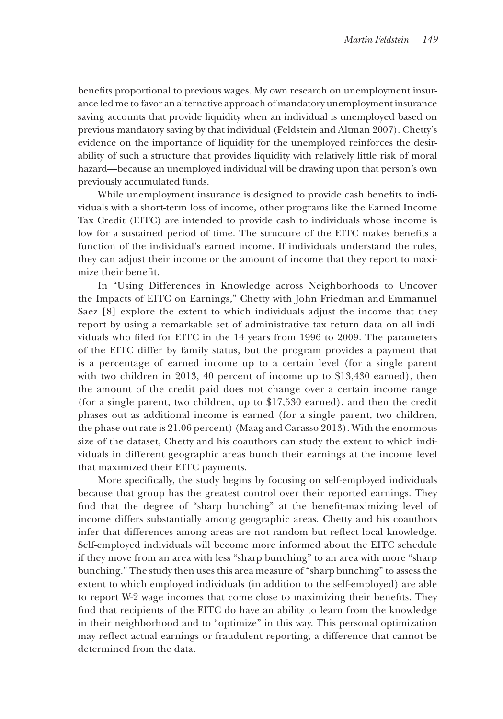benefits proportional to previous wages. My own research on unemployment insurance led me to favor an alternative approach of mandatory unemployment insurance saving accounts that provide liquidity when an individual is unemployed based on previous mandatory saving by that individual (Feldstein and Altman 2007). Chetty's evidence on the importance of liquidity for the unemployed reinforces the desirability of such a structure that provides liquidity with relatively little risk of moral hazard—because an unemployed individual will be drawing upon that person's own previously accumulated funds.

While unemployment insurance is designed to provide cash benefits to individuals with a short-term loss of income, other programs like the Earned Income Tax Credit (EITC) are intended to provide cash to individuals whose income is low for a sustained period of time. The structure of the EITC makes benefits a function of the individual's earned income. If individuals understand the rules, they can adjust their income or the amount of income that they report to maxi- hey can adjust their income or the amount of income that they report to maximize their benefit.

In "Using Differences in Knowledge across Neighborhoods to Uncover the Impacts of EITC on Earnings," Chetty with John Friedman and Emmanuel he Impacts of EITC on Earnings," Chetty with John Friedman and Emmanuel Saez  $[8]$  explore the extent to which individuals adjust the income that they report by using a remarkable set of administrative tax return data on all individuals who filed for EITC in the  $14$  years from 1996 to 2009. The parameters of the EITC differ by family status, but the program provides a payment that is a percentage of earned income up to a certain level (for a single parent with two children in 2013, 40 percent of income up to  $$13,430$  earned), then the amount of the credit paid does not change over a certain income range (for a single parent, two children, up to  $$17,530$  earned), and then the credit phases out as additional income is earned (for a single parent, two children, hases out as additional income is earned (for a single parent, two children, the phase out rate is  $21.06$  percent) (Maag and Carasso  $2013$ ). With the enormous size of the dataset, Chetty and his coauthors can study the extent to which individuals in different geographic areas bunch their earnings at the income level that maximized their EITC payments.

More specifically, the study begins by focusing on self-employed individuals because that group has the greatest control over their reported earnings. They find that the degree of "sharp bunching" at the benefit-maximizing level of income differs substantially among geographic areas. Chetty and his coauthors infer that differences among areas are not random but reflect local knowledge. Self-employed individuals will become more informed about the EITC schedule if they move from an area with less "sharp bunching" to an area with more "sharp bunching." The study then uses this area measure of "sharp bunching" to assess the extent to which employed individuals (in addition to the self-employed) are able to report W-2 wage incomes that come close to maximizing their benefits. They find that recipients of the EITC do have an ability to learn from the knowledge in their neighborhood and to "optimize" in this way. This personal optimization may reflect actual earnings or fraudulent reporting, a difference that cannot be determined from the data.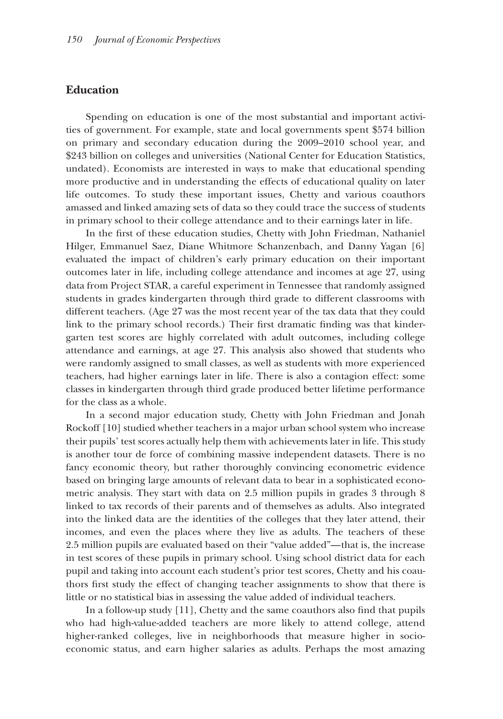#### **Education**

Spending on education is one of the most substantial and important activities of government. For example, state and local governments spent \$574 billion on primary and secondary education during the 2009–2010 school year, and \$243 billion on colleges and universities (National Center for Education Statistics, undated). Economists are interested in ways to make that educational spending more productive and in understanding the effects of educational quality on later life outcomes. To study these important issues, Chetty and various coauthors amassed and linked amazing sets of data so they could trace the success of students in primary school to their college attendance and to their earnings later in life.

In the first of these education studies, Chetty with John Friedman, Nathaniel Hilger, Emmanuel Saez, Diane Whitmore Schanzenbach, and Danny Yagan [6] evaluated the impact of children's early primary education on their important outcomes later in life, including college attendance and incomes at age 27, using data from Project STAR, a careful experiment in Tennessee that randomly assigned students in grades kindergarten through third grade to different classrooms with different teachers. (Age 27 was the most recent year of the tax data that they could link to the primary school records.) Their first dramatic finding was that kindergarten test scores are highly correlated with adult outcomes, including college attendance and earnings, at age 27. This analysis also showed that students who were randomly assigned to small classes, as well as students with more experienced teachers, had higher earnings later in life. There is also a contagion effect: some classes in kindergarten through third grade produced better lifetime performance lasses in kindergarten through third grade produced better lifetime performance for the class as a whole.

In a second major education study, Chetty with John Friedman and Jonah Rockoff [10] studied whether teachers in a major urban school system who increase their pupils' test scores actually help them with achievements later in life. This study is another tour de force of combining massive independent datasets. There is no fancy economic theory, but rather thoroughly convincing econometric evidence based on bringing large amounts of relevant data to bear in a sophisticated econometric analysis. They start with data on 2.5 million pupils in grades 3 through 8 linked to tax records of their parents and of themselves as adults. Also integrated into the linked data are the identities of the colleges that they later attend, their incomes, and even the places where they live as adults. The teachers of these 2.5 million pupils are evaluated based on their "value added"—that is, the increase in test scores of these pupils in primary school. Using school district data for each pupil and taking into account each student's prior test scores, Chetty and his coauthors first study the effect of changing teacher assignments to show that there is little or no statistical bias in assessing the value added of individual teachers.

In a follow-up study  $[11]$ , Chetty and the same coauthors also find that pupils who had high-value-added teachers are more likely to attend college, attend higher-ranked colleges, live in neighborhoods that measure higher in socioeconomic status, and earn higher salaries as adults. Perhaps the most amazing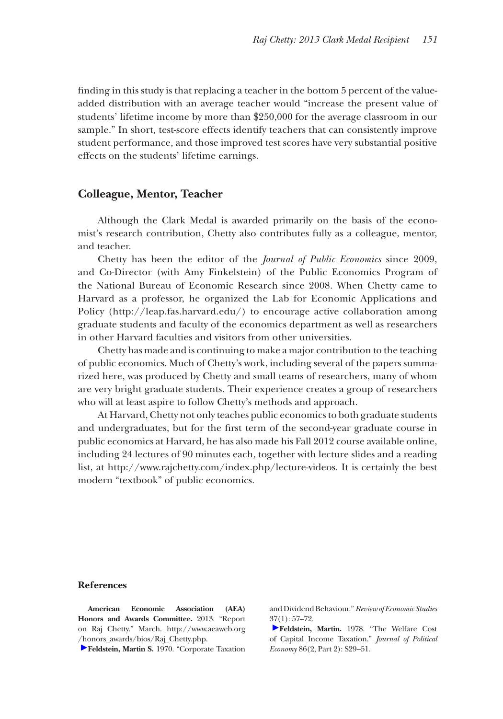finding in this study is that replacing a teacher in the bottom 5 percent of the valueadded distribution with an average teacher would "increase the present value of students' lifetime income by more than \$250,000 for the average classroom in our sample." In short, test-score effects identify teachers that can consistently improve student performance, and those improved test scores have very substantial positive effects on the students' lifetime earnings.

#### **Colleague, Mentor, Teacher**

Although the Clark Medal is awarded primarily on the basis of the economist's research contribution, Chetty also contributes fully as a colleague, mentor, and teacher.

Chetty has been the editor of the *Journal of Public Economics* since 2009, and Co-Director (with Amy Finkelstein) of the Public Economics Program of the National Bureau of Economic Research since 2008. When Chetty came to Harvard as a professor, he organized the Lab for Economic Applications and Policy [\(http://leap.fas.harvard.edu/\)](http://leap.fas.harvard.edu/) to encourage active collaboration among graduate students and faculty of the economics department as well as researchers in other Harvard faculties and visitors from other universities.

Chetty has made and is continuing to make a major contribution to the teaching of public economics. Much of Chetty's work, including several of the papers summarized here, was produced by Chetty and small teams of researchers, many of whom are very bright graduate students. Their experience creates a group of researchers who will at least aspire to follow Chetty's methods and approach.

At Harvard, Chetty not only teaches public economics to both graduate students and undergraduates, but for the first term of the second-year graduate course in public economics at Harvard, he has also made his Fall 2012 course available online, including 24 lectures of 90 minutes each, together with lecture slides and a reading list, at [http://www.rajchetty.com/index.php/lecture-videos.](http://www.rajchetty.com/index.php/lecture-videos) It is certainly the best modern "textbook" of public economics.

#### **References**

**American Economic Association (AEA) Honors and Awards Committee.** 2013. "Report on Raj Chetty." March. [http://www.aeaweb.org](http://www.aeaweb.org/honors_awards/bios/Raj_Chetty.php) [/honors\\_awards/bios/Raj\\_Chetty.php.](http://www.aeaweb.org/honors_awards/bios/Raj_Chetty.php)

**Feldstein, Martin S.** 1970. "Corporate Taxation

and Dividend Behaviour." *Review of Economic Studies* [37\(](http://pubs.aeaweb.org/action/showLinks?crossref=10.1086%2F260693&citationId=p_3)1): 57–72.

**Feldstein, Martin.** 1978. "The Welfare Cost of Capital Income Taxation." *Journal of Political Economy* 86(2, Part 2): S29-51.